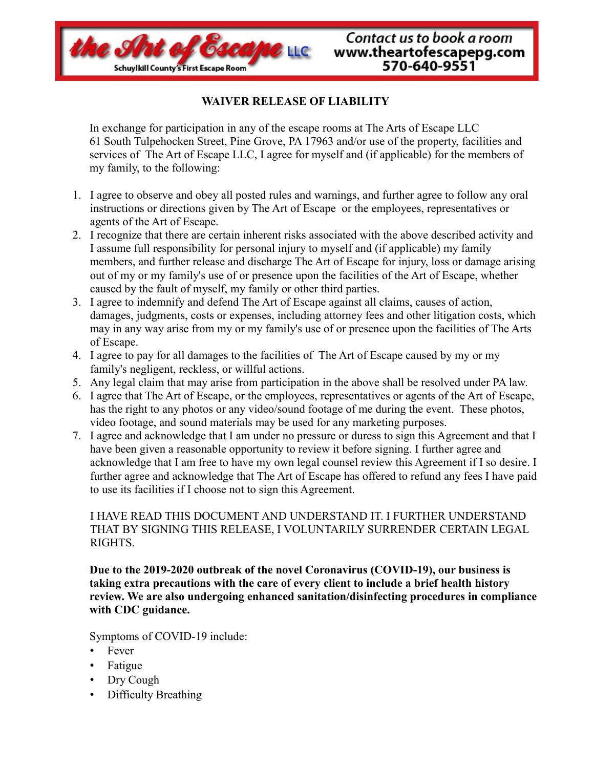

## **WAIVER RELEASE OF LIABILITY**

In exchange for participation in any of the escape rooms at The Arts of Escape LLC 61 South Tulpehocken Street, Pine Grove, PA 17963 and/or use of the property, facilities and services of The Art of Escape LLC, I agree for myself and (if applicable) for the members of my family, to the following:

- 1. I agree to observe and obey all posted rules and warnings, and further agree to follow any oral instructions or directions given by The Art of Escape or the employees, representatives or agents of the Art of Escape.
- 2. I recognize that there are certain inherent risks associated with the above described activity and I assume full responsibility for personal injury to myself and (if applicable) my family members, and further release and discharge The Art of Escape for injury, loss or damage arising out of my or my family's use of or presence upon the facilities of the Art of Escape, whether caused by the fault of myself, my family or other third parties.
- 3. I agree to indemnify and defend The Art of Escape against all claims, causes of action, damages, judgments, costs or expenses, including attorney fees and other litigation costs, which may in any way arise from my or my family's use of or presence upon the facilities of The Arts of Escape.
- 4. I agree to pay for all damages to the facilities of The Art of Escape caused by my or my family's negligent, reckless, or willful actions.
- 5. Any legal claim that may arise from participation in the above shall be resolved under PA law.
- 6. I agree that The Art of Escape, or the employees, representatives or agents of the Art of Escape, has the right to any photos or any video/sound footage of me during the event. These photos, video footage, and sound materials may be used for any marketing purposes.
- 7. I agree and acknowledge that I am under no pressure or duress to sign this Agreement and that I have been given a reasonable opportunity to review it before signing. I further agree and acknowledge that I am free to have my own legal counsel review this Agreement if I so desire. I further agree and acknowledge that The Art of Escape has offered to refund any fees I have paid to use its facilities if I choose not to sign this Agreement.

## I HAVE READ THIS DOCUMENT AND UNDERSTAND IT. I FURTHER UNDERSTAND THAT BY SIGNING THIS RELEASE, I VOLUNTARILY SURRENDER CERTAIN LEGAL RIGHTS.

**Due to the 2019-2020 outbreak of the novel Coronavirus (COVID-19), our business is taking extra precautions with the care of every client to include a brief health history review. We are also undergoing enhanced sanitation/disinfecting procedures in compliance with CDC guidance.**

Symptoms of COVID-19 include:

- Fever
- Fatigue
- Dry Cough
- Difficulty Breathing